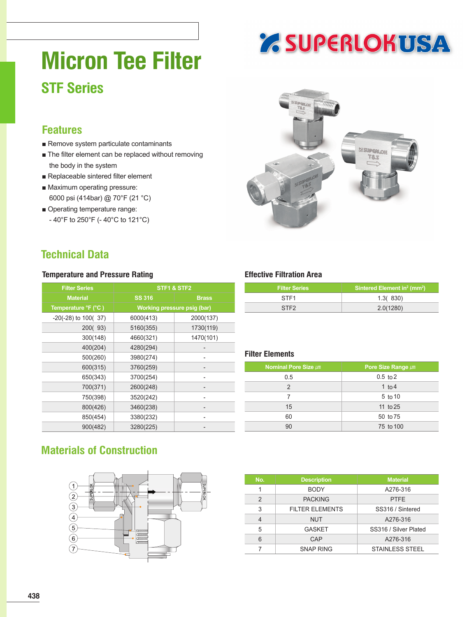# **Micron Tee Filter STF Series**

### **Features**

- Remove system particulate contaminants
- The filter element can be replaced without removing the body in the system
- Replaceable sintered filter element
- Maximum operating pressure: 6000 psi (414bar) @ 70°F (21 °C)
- Operating temperature range: - 40°F to 250°F (- 40°C to 121°C)



**Z SUPERLOKUSA** 

### **Technical Data**

#### **Temperature and Pressure Rating Temperature and Pressure Rating Temperature Effective Filtration Area**

| <b>Filter Series</b>    | STF1 & STF2                 |              |  |  |  |  |
|-------------------------|-----------------------------|--------------|--|--|--|--|
| <b>Material</b>         | <b>SS 316</b>               | <b>Brass</b> |  |  |  |  |
| Temperature °F (°C)     | Working pressure psig (bar) |              |  |  |  |  |
| $-20(-28)$ to $100(37)$ | 6000(413)                   | 2000(137)    |  |  |  |  |
| 200(93)                 | 5160(355)                   | 1730(119)    |  |  |  |  |
| 300(148)                | 4660(321)                   | 1470(101)    |  |  |  |  |
| 400(204)                | 4280(294)                   |              |  |  |  |  |
| 500(260)                | 3980(274)                   |              |  |  |  |  |
| 600(315)                | 3760(259)                   |              |  |  |  |  |
| 650(343)                | 3700(254)                   |              |  |  |  |  |
| 700(371)                | 2600(248)                   |              |  |  |  |  |
| 750(398)                | 3520(242)                   |              |  |  |  |  |
| 800(426)                | 3460(238)                   |              |  |  |  |  |
| 850(454)                | 3380(232)                   |              |  |  |  |  |
| 900(482)                | 3280(225)                   |              |  |  |  |  |

| <b>Filter Series</b> | Sintered Element in <sup>2</sup> (mm <sup>2</sup> ) |
|----------------------|-----------------------------------------------------|
| STF <sub>1</sub>     | 1.3(830)                                            |
| STF <sub>2</sub>     | 2.0(1280)                                           |

#### **Filter Elements**

| <b>Nominal Pore Size µm</b> | Pore Size Range $\mu$ m |
|-----------------------------|-------------------------|
| 0.5                         | $0.5$ to $2$            |
| $\overline{2}$              | 1 to 4                  |
| 7                           | 5 to 10                 |
| 15                          | 11 to 25                |
| 60                          | 50 to 75                |
| 90                          | 75 to 100               |

#### **Materials of Construction**



| No. | <b>Description</b>     | <b>Material</b>        |
|-----|------------------------|------------------------|
|     | <b>BODY</b>            | A276-316               |
| 2   | <b>PACKING</b>         | <b>PTFE</b>            |
| 3   | <b>FILTER ELEMENTS</b> | SS316 / Sintered       |
| 4   | <b>NUT</b>             | A276-316               |
| 5   | <b>GASKET</b>          | SS316 / Silver Plated  |
| 6   | CAP                    | A276-316               |
|     | <b>SNAP RING</b>       | <b>STAINLESS STEEL</b> |